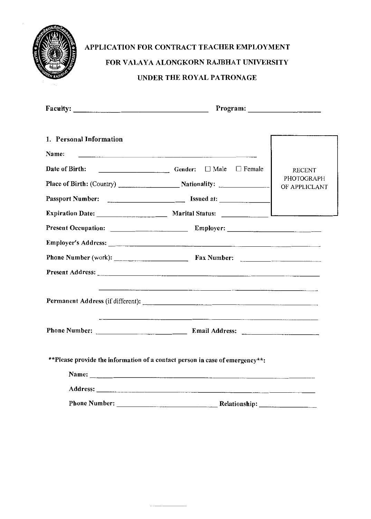

## APPLICATION FOR CONTRACT TEACHER EMPLOYMENT FOR VALAYA ALONGKORN RAJBHAT UNIVERSITY UNDER THE ROYAL PATRONAGE

|                                  | Program:                                                                                                                                                                                                                                                                                                      |                                              |  |
|----------------------------------|---------------------------------------------------------------------------------------------------------------------------------------------------------------------------------------------------------------------------------------------------------------------------------------------------------------|----------------------------------------------|--|
| 1. Personal Information<br>Name: |                                                                                                                                                                                                                                                                                                               |                                              |  |
| Date of Birth:                   | ■ Gender: □ Male □ Female                                                                                                                                                                                                                                                                                     | <b>RECENT</b><br>PHOTOGRAPH<br>OF APPLICLANT |  |
|                                  | Expiration Date: _______________________ Marital Status: _______________________<br>Phone Number (work): Fax Number:                                                                                                                                                                                          |                                              |  |
|                                  |                                                                                                                                                                                                                                                                                                               |                                              |  |
|                                  |                                                                                                                                                                                                                                                                                                               |                                              |  |
|                                  | **Please provide the information of a contact person in case of emergency**:<br>Name: Name: Name: Name: Name: Name: Name: Name: Name: Name: Name: Name: Name: Name: Name: Name: Name: Name: Name: Name: Name: Name: Name: Name: Name: Name: Name: Name: Name: Name: Name: Name: Name: Name: Name: Name: Name: |                                              |  |
|                                  | Phone Number: Relationship:                                                                                                                                                                                                                                                                                   |                                              |  |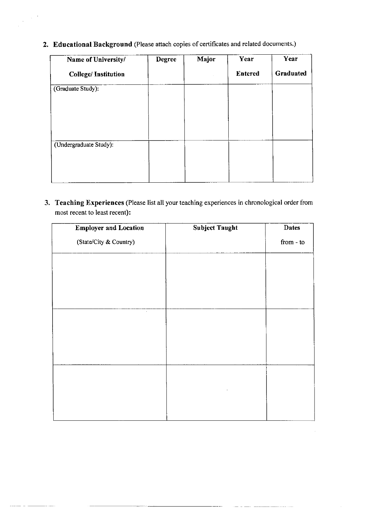2. Educational Background (Please attach copies of certificates and related documents.)

 $\overline{\phantom{a}}$ 

| Name of University/        | <b>Degree</b> | Major | Year           | Year      |
|----------------------------|---------------|-------|----------------|-----------|
| <b>College/Institution</b> |               |       | <b>Entered</b> | Graduated |
| (Graduate Study):          |               |       |                |           |
| (Undergraduate Study):     |               |       |                |           |

3. Teaching Experiences (Please list all your teaching experiences in chronological order from most recent to least recent):

| <b>Employer and Location</b> | <b>Subject Taught</b> | <b>Dates</b> |
|------------------------------|-----------------------|--------------|
| (State/City & Country)       |                       | from $-$ to  |
|                              |                       |              |
|                              |                       |              |
|                              |                       |              |
| $\epsilon$                   |                       |              |
|                              |                       |              |
|                              |                       |              |
|                              |                       |              |
|                              |                       |              |
|                              |                       |              |
|                              |                       |              |
|                              |                       |              |

. . . . . <u>. . .</u>

 $\hat{\phi}$ 

 $- -$ 

ستستر المستركب المسترد